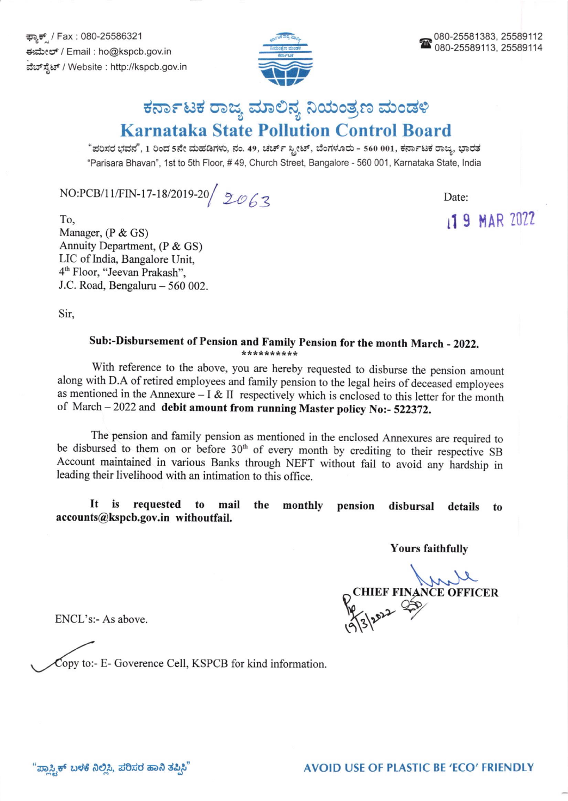ಕ್ಯಾಕ್ / Fax : 080-25586321 €rdxql6 / Email : ho@kspcb.gov.in ವೆಬ್ ಸ್ಪೆಟ್ / Website : http://kspcb.gov.in



## ಕರ್ನಾಟಕ ರಾಜ್ಯ ಮಾಲಿನ್ಯ ನಿಯಂತ್ರಣ ಮಂಡಳಿ Karnataka State Pollution Control Board

"ಪರಿಸರ ಭವನ", 1 ರಿಂದ 5ನೇ ಮಹಡಿಗಳು, ನಂ. 49, ಚರ್ಚ್ ಸ್ಟೀಟ್, ಬೆಂಗಳೂರು - 560 001, ಕರ್ನಾಟಕ ರಾಜ್ಞ, ಭಾರತ "Parisara Bhavan", 1st to 5th Floor, # 49, Church Street, Bangalore - 560 001, Karnataka State, India

 $NO:PCB/11/FIN-17-18/2019-20 / 20 / 20$ 

To, Manager, (P & GS) Annuity Department, (P & GS) LIC of India, Bangalore Unit, 4<sup>th</sup> Floor, "Jeevan Prakash", J.C. Road, Bengaluru  $-560002$ . 119 MAR 2022

Sir,

## Sub:-Disbursement of Pension and Family Pension for the month March - 2022.

with reference to the above, you are hereby requested to disburse the pension amount along with D.A of retired employees and family pension to the legal heirs of deceased employees as mentioned in the Annexure - I & II respectively which is enclosed to this letter for the month of March - 2022 and debit amount from running Master policy No:- 522372.

The pension and family pension as mentioned in the enclosed Annexures are required to be disbursed to them on or before 30<sup>th</sup> of every month by crediting to their respective SB Account maintained in various Banks through NEFT without fail to avoid any hardship in leading their livelihood with an intimation to this office.

monthly pension disbursal details to It is requested to mail accounts@kspcb.gov.in withoutfait.

Yours faithfullv

CHIEF FINANCE OFFICER 19/3/2022

ENCL's:- As above.

Copy to:- E- Goverence Cell, KSPCB for kind information.